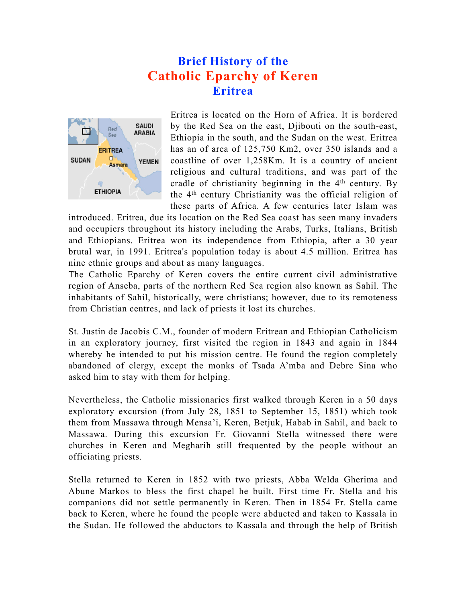## **Brief History of the Catholic Eparchy of Keren Eritrea**



Eritrea is located on the Horn of Africa. It is bordered by the Red Sea on the east, Djibouti on the south-east, Ethiopia in the south, and the Sudan on the west. Eritrea has an of area of 125,750 Km2, over 350 islands and a coastline of over 1,258Km. It is a country of ancient religious and cultural traditions, and was part of the cradle of christianity beginning in the 4th century. By the 4th century Christianity was the official religion of these parts of Africa. A few centuries later Islam was

introduced. Eritrea, due its location on the Red Sea coast has seen many invaders and occupiers throughout its history including the Arabs, Turks, Italians, British and Ethiopians. Eritrea won its independence from Ethiopia, after a 30 year brutal war, in 1991. Eritrea's population today is about 4.5 million. Eritrea has nine ethnic groups and about as many languages.

The Catholic Eparchy of Keren covers the entire current civil administrative region of Anseba, parts of the northern Red Sea region also known as Sahil. The inhabitants of Sahil, historically, were christians; however, due to its remoteness from Christian centres, and lack of priests it lost its churches.

St. Justin de Jacobis C.M., founder of modern Eritrean and Ethiopian Catholicism in an exploratory journey, first visited the region in 1843 and again in 1844 whereby he intended to put his mission centre. He found the region completely abandoned of clergy, except the monks of Tsada A'mba and Debre Sina who asked him to stay with them for helping.

Nevertheless, the Catholic missionaries first walked through Keren in a 50 days exploratory excursion (from July 28, 1851 to September 15, 1851) which took them from Massawa through Mensa'i, Keren, Betjuk, Habab in Sahil, and back to Massawa. During this excursion Fr. Giovanni Stella witnessed there were churches in Keren and Megharih still frequented by the people without an officiating priests.

Stella returned to Keren in 1852 with two priests, Abba Welda Gherima and Abune Markos to bless the first chapel he built. First time Fr. Stella and his companions did not settle permanently in Keren. Then in 1854 Fr. Stella came back to Keren, where he found the people were abducted and taken to Kassala in the Sudan. He followed the abductors to Kassala and through the help of British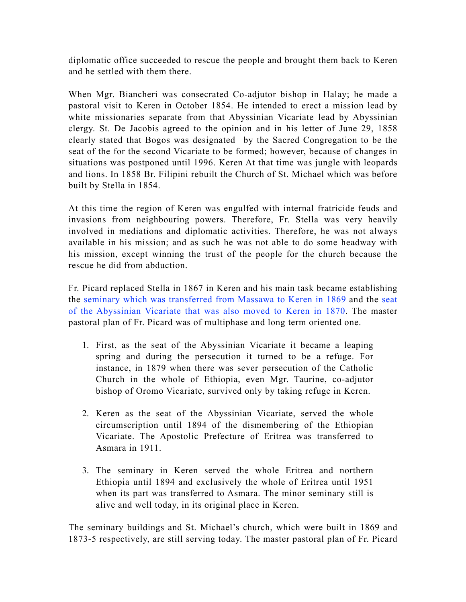diplomatic office succeeded to rescue the people and brought them back to Keren and he settled with them there.

When Mgr. Biancheri was consecrated Co-adjutor bishop in Halay; he made a pastoral visit to Keren in October 1854. He intended to erect a mission lead by white missionaries separate from that Abyssinian Vicariate lead by Abyssinian clergy. St. De Jacobis agreed to the opinion and in his letter of June 29, 1858 clearly stated that Bogos was designated by the Sacred Congregation to be the seat of the for the second Vicariate to be formed; however, because of changes in situations was postponed until 1996. Keren At that time was jungle with leopards and lions. In 1858 Br. Filipini rebuilt the Church of St. Michael which was before built by Stella in 1854.

At this time the region of Keren was engulfed with internal fratricide feuds and invasions from neighbouring powers. Therefore, Fr. Stella was very heavily involved in mediations and diplomatic activities. Therefore, he was not always available in his mission; and as such he was not able to do some headway with his mission, except winning the trust of the people for the church because the rescue he did from abduction.

Fr. Picard replaced Stella in 1867 in Keren and his main task became establishing the seminary which was transferred from Massawa to Keren in 1869 and the seat of the Abyssinian Vicariate that was also moved to Keren in 1870. The master pastoral plan of Fr. Picard was of multiphase and long term oriented one.

- 1. First, as the seat of the Abyssinian Vicariate it became a leaping spring and during the persecution it turned to be a refuge. For instance, in 1879 when there was sever persecution of the Catholic Church in the whole of Ethiopia, even Mgr. Taurine, co-adjutor bishop of Oromo Vicariate, survived only by taking refuge in Keren.
- 2. Keren as the seat of the Abyssinian Vicariate, served the whole circumscription until 1894 of the dismembering of the Ethiopian Vicariate. The Apostolic Prefecture of Eritrea was transferred to Asmara in 1911.
- 3. The seminary in Keren served the whole Eritrea and northern Ethiopia until 1894 and exclusively the whole of Eritrea until 1951 when its part was transferred to Asmara. The minor seminary still is alive and well today, in its original place in Keren.

The seminary buildings and St. Michael's church, which were built in 1869 and 1873-5 respectively, are still serving today. The master pastoral plan of Fr. Picard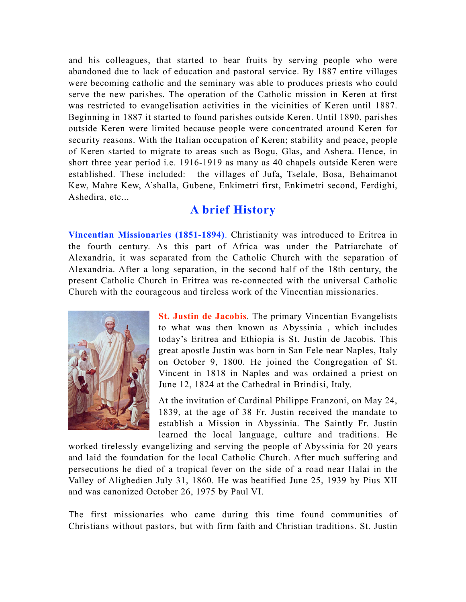and his colleagues, that started to bear fruits by serving people who were abandoned due to lack of education and pastoral service. By 1887 entire villages were becoming catholic and the seminary was able to produces priests who could serve the new parishes. The operation of the Catholic mission in Keren at first was restricted to evangelisation activities in the vicinities of Keren until 1887. Beginning in 1887 it started to found parishes outside Keren. Until 1890, parishes outside Keren were limited because people were concentrated around Keren for security reasons. With the Italian occupation of Keren; stability and peace, people of Keren started to migrate to areas such as Bogu, Glas, and Ashera. Hence, in short three year period i.e. 1916-1919 as many as 40 chapels outside Keren were established. These included: the villages of Jufa, Tselale, Bosa, Behaimanot Kew, Mahre Kew, A'shalla, Gubene, Enkimetri first, Enkimetri second, Ferdighi, Ashedira, etc...

## **A brief History**

**Vincentian Missionaries (1851-1894)**. Christianity was introduced to Eritrea in the fourth century. As this part of Africa was under the Patriarchate of Alexandria, it was separated from the Catholic Church with the separation of Alexandria. After a long separation, in the second half of the 18th century, the present Catholic Church in Eritrea was re-connected with the universal Catholic Church with the courageous and tireless work of the Vincentian missionaries.



**St. Justin de Jacobis**. The primary Vincentian Evangelists to what was then known as Abyssinia , which includes today's Eritrea and Ethiopia is St. Justin de Jacobis. This great apostle Justin was born in San Fele near Naples, Italy on October 9, 1800. He joined the Congregation of St. Vincent in 1818 in Naples and was ordained a priest on June 12, 1824 at the Cathedral in Brindisi, Italy.

At the invitation of Cardinal Philippe Franzoni, on May 24, 1839, at the age of 38 Fr. Justin received the mandate to establish a Mission in Abyssinia. The Saintly Fr. Justin learned the local language, culture and traditions. He

worked tirelessly evangelizing and serving the people of Abyssinia for 20 years and laid the foundation for the local Catholic Church. After much suffering and persecutions he died of a tropical fever on the side of a road near Halai in the Valley of Alighedien July 31, 1860. He was beatified June 25, 1939 by Pius XII and was canonized October 26, 1975 by Paul VI.

The first missionaries who came during this time found communities of Christians without pastors, but with firm faith and Christian traditions. St. Justin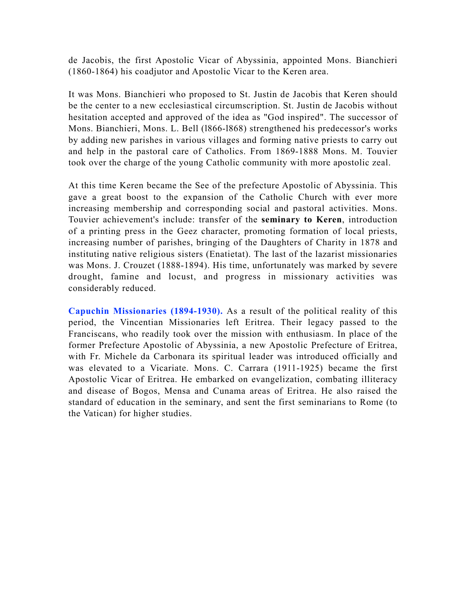de Jacobis, the first Apostolic Vicar of Abyssinia, appointed Mons. Bianchieri (1860-1864) his coadjutor and Apostolic Vicar to the Keren area.

It was Mons. Bianchieri who proposed to St. Justin de Jacobis that Keren should be the center to a new ecclesiastical circumscription. St. Justin de Jacobis without hesitation accepted and approved of the idea as "God inspired". The successor of Mons. Bianchieri, Mons. L. Bell (l866-l868) strengthened his predecessor's works by adding new parishes in various villages and forming native priests to carry out and help in the pastoral care of Catholics. From 1869-1888 Mons. M. Touvier took over the charge of the young Catholic community with more apostolic zeal.

At this time Keren became the See of the prefecture Apostolic of Abyssinia. This gave a great boost to the expansion of the Catholic Church with ever more increasing membership and corresponding social and pastoral activities. Mons. Touvier achievement's include: transfer of the **seminary to Keren**, introduction of a printing press in the Geez character, promoting formation of local priests, increasing number of parishes, bringing of the Daughters of Charity in 1878 and instituting native religious sisters (Enatietat). The last of the lazarist missionaries was Mons. J. Crouzet (1888-1894). His time, unfortunately was marked by severe drought, famine and locust, and progress in missionary activities was considerably reduced.

**Capuchin Missionaries (1894-1930).** As a result of the political reality of this period, the Vincentian Missionaries left Eritrea. Their legacy passed to the Franciscans, who readily took over the mission with enthusiasm. In place of the former Prefecture Apostolic of Abyssinia, a new Apostolic Prefecture of Eritrea, with Fr. Michele da Carbonara its spiritual leader was introduced officially and was elevated to a Vicariate. Mons. C. Carrara (1911-1925) became the first Apostolic Vicar of Eritrea. He embarked on evangelization, combating illiteracy and disease of Bogos, Mensa and Cunama areas of Eritrea. He also raised the standard of education in the seminary, and sent the first seminarians to Rome (to the Vatican) for higher studies.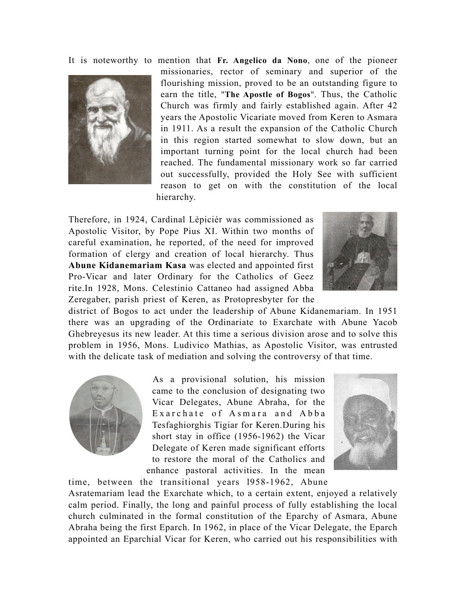It is noteworthy to mention that **Fr. Angelico da Nono**, one of the pioneer



missionaries, rector of seminary and superior of the flourishing mission, proved to be an outstanding figure to earn the title, "**The Apostle of Bogos**". Thus, the Catholic Church was firmly and fairly established again. After 42 years the Apostolic Vicariate moved from Keren to Asmara in 1911. As a result the expansion of the Catholic Church in this region started somewhat to slow down, but an important turning point for the local church had been reached. The fundamental missionary work so far carried out successfully, provided the Holy See with sufficient reason to get on with the constitution of the local hierarchy.

Therefore, in 1924, Cardinal Lèpiciér was commissioned as Apostolic Visitor, by Pope Pius XI. Within two months of careful examination, he reported, of the need for improved formation of clergy and creation of local hierarchy. Thus **Abune Kidanemariam Kasa** was elected and appointed first Pro-Vicar and later Ordinary for the Catholics of Geez rite.In 1928, Mons. Celestinio Cattaneo had assigned Abba Zeregaber, parish priest of Keren, as Protopresbyter for the



district of Bogos to act under the leadership of Abune Kidanemariam. In 1951 there was an upgrading of the Ordinariate to Exarchate with Abune Yacob Ghebreyesus its new leader. At this time a serious division arose and to solve this problem in 1956, Mons. Ludivico Mathias, as Apostolic Visitor, was entrusted with the delicate task of mediation and solving the controversy of that time.



As a provisional solution, his mission came to the conclusion of designating two Vicar Delegates, Abune Abraha, for the Exarchate of Asmara and Abba Tesfaghiorghis Tigiar for Keren.During his short stay in office (1956-1962) the Vicar Delegate of Keren made significant efforts to restore the moral of the Catholics and enhance pastoral activities. In the mean time, between the transitional years l958-1962, Abune



Asratemariam lead the Exarchate which, to a certain extent, enjoyed a relatively calm period. Finally, the long and painful process of fully establishing the local church culminated in the formal constitution of the Eparchy of Asmara, Abune Abraha being the first Eparch. In 1962, in place of the Vicar Delegate, the Eparch appointed an Eparchial Vicar for Keren, who carried out his responsibilities with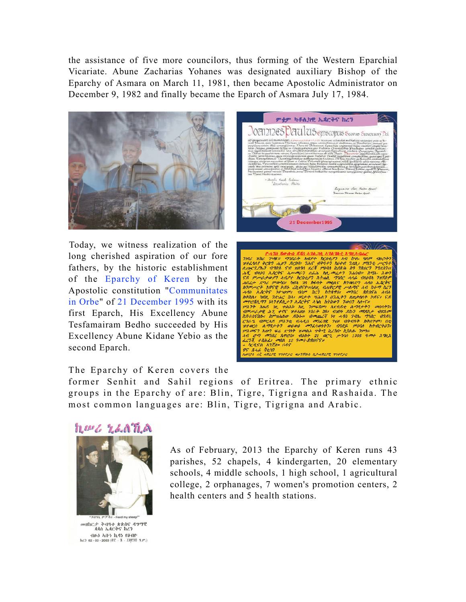the assistance of five more councilors, thus forming of the Western Eparchial Vicariate. Abune Zacharias Yohanes was designated auxiliary Bishop of the Eparchy of Asmara on March 11, 1981, then became Apostolic Administrator on December 9, 1982 and finally became the Eparch of Asmara July 17, 1984.



Today, we witness realization of the long cherished aspiration of our fore fathers, by the historic establishment of the Eparchy of Keren by the Apostolic constitution "Communitates in Orbe" of 21 December 1995 with its first Eparch, His Excellency Abune Tesfamairam Bedho succeeded by His Excellency Abune Kidane Yebio as the second Eparch.





The Eparchy of Keren covers the

former Senhit and Sahil regions of Eritrea. The primary ethnic groups in the Eparchy of are: Blin, Tigre, Tigrigna and Rashaida. The most common languages are: Blin, Tigre, Tigrigna and Arabic.



መዘከርታ ቅብዓተ ጵጵስና ዳማማዊ<br>- ጳጳስ ኤጳርቅና ከረን  $\{ \begin{matrix} 1 & 0 & 0 \\ 0 & 0 & 0 \\ 0 & 0 & 0 \\ 0 & 0 & 0 \\ 0 & 0 & 0 \\ \end{matrix} \} \times \{ \begin{matrix} 1 & 0 & 0 \\ 0 & 0 & 0 \\ 0 & 0 & 0 \\ 0 & 0 & 0 \\ 0 & 0 & 0 \\ 0 & 0 & 0 \\ 0 & 0 & 0 \\ 0 & 0 & 0 \\ 0 & 0 & 0 \\ 0 & 0 & 0 \\ 0 & 0 & 0 \\ 0 & 0 & 0 \\ 0 & 0 & 0 \\ 0 & 0 & 0 \\ 0 & 0 & 0 \\ 0 & 0 & 0 \\ 0 & 0 & 0$ 

As of February, 2013 the Eparchy of Keren runs 43 parishes, 52 chapels, 4 kindergarten, 20 elementary schools, 4 middle schools, 1 high school, 1 agricultural college, 2 orphanages, 7 women's promotion centers, 2 health centers and 5 health stations.